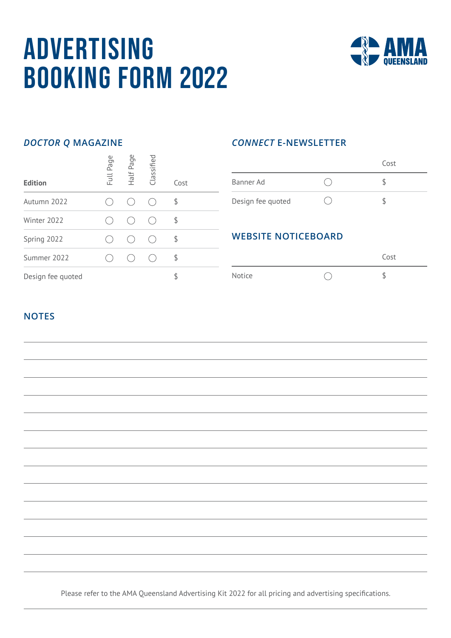# **ADVERTISING** Booking Form 2022



# *DOCTOR Q* **MAGAZINE**

| <b>Edition</b>    | Full Page | Half Page | Classified | Cost |  |
|-------------------|-----------|-----------|------------|------|--|
| Autumn 2022       |           |           |            | \$   |  |
| Winter 2022       |           |           |            | \$   |  |
| Spring 2022       |           |           |            | \$   |  |
| Summer 2022       |           |           |            | \$   |  |
| Design fee quoted |           |           |            |      |  |

## *CONNECT* **E-NEWSLETTER**

|                   | Cost |  |
|-------------------|------|--|
| Banner Ad         |      |  |
| Design fee quoted |      |  |

# **WEBSITE NOTICEBOARD**

|        | Cost |
|--------|------|
| Notice |      |

### **NOTES**



Please refer to the AMA Queensland Advertising Kit 2022 for all pricing and advertising specifications.